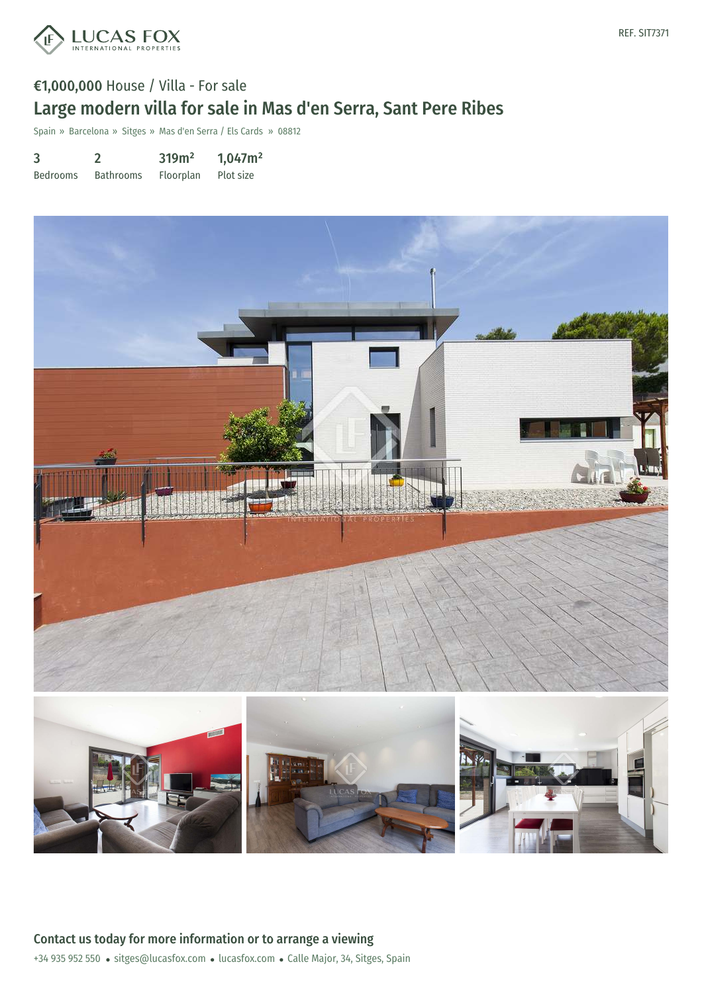

#### REF. SIT7371

# €1,000,000 House / Villa - For sale Large modern villa for sale in Mas d'en Serra, Sant Pere Ribes

Spain » Barcelona » Sitges » Mas d'en Serra / Els Cards » 08812

| 3               |                  | 319m <sup>2</sup> | 1,047m <sup>2</sup> |
|-----------------|------------------|-------------------|---------------------|
| <b>Bedrooms</b> | <b>Bathrooms</b> | Floorplan         | Plot size           |

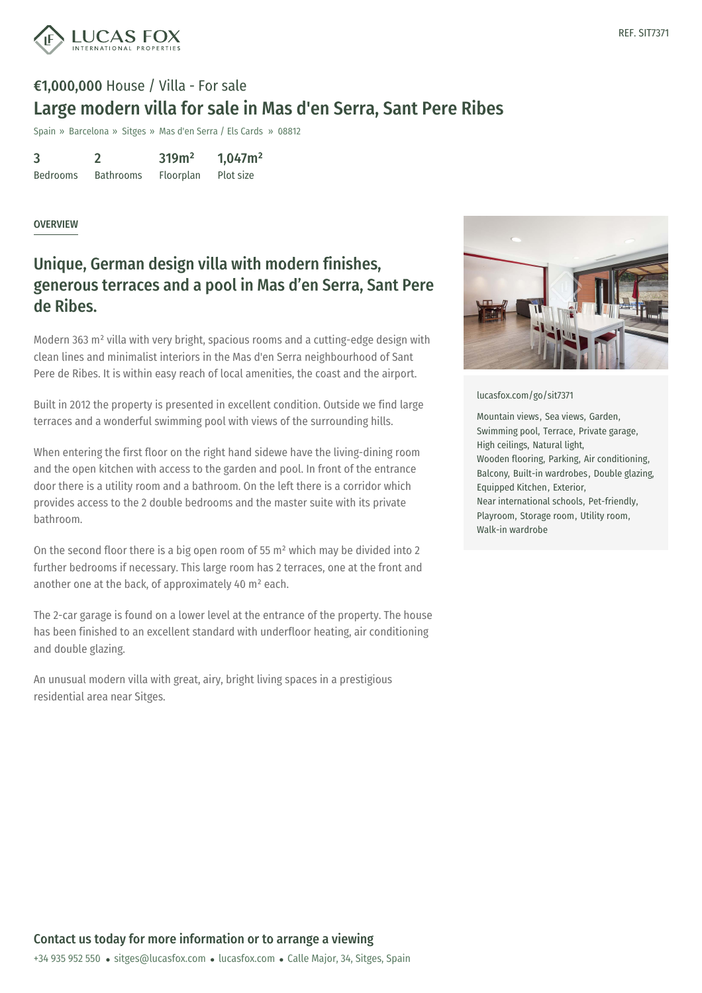

# €1,000,000 House / Villa - For sale Large modern villa for sale in Mas d'en Serra, Sant Pere Ribes

Spain » Barcelona » Sitges » Mas d'en Serra / Els Cards » 08812

| 3               |                  | 319m <sup>2</sup> | 1,047m <sup>2</sup> |
|-----------------|------------------|-------------------|---------------------|
| <b>Bedrooms</b> | <b>Bathrooms</b> | Floorplan         | Plot size           |

#### **OVERVIEW**

### Unique, German design villa with modern finishes, generous terraces and a pool in Mas d'en Serra, Sant Pere de Ribes.

Modern 363 m² villa with very bright, spacious rooms and a cutting-edge design with clean lines and minimalist interiors in the Mas d'en Serra neighbourhood of Sant Pere de Ribes. It is within easy reach of local amenities, the coast and the airport.

Built in 2012 the property is presented in excellent condition. Outside we find large terraces and a wonderful swimming pool with views of the surrounding hills.

When entering the first floor on the right hand sidewe have the living-dining room and the open kitchen with access to the garden and pool. In front of the entrance door there is a utility room and a bathroom. On the left there is a corridor which provides access to the 2 double bedrooms and the master suite with its private bathroom.

On the second floor there is a big open room of 55  $m<sup>2</sup>$  which may be divided into 2 further bedrooms if necessary. This large room has 2 terraces, one at the front and another one at the back, of approximately 40 m² each.

The 2-car garage is found on a lower level at the entrance of the property. The house has been finished to an excellent standard with underfloor heating, air conditioning and double glazing.

An unusual modern villa with great, airy, bright living spaces in a prestigious residential area near Sitges.



#### [lucasfox.com/go/sit7371](https://www.lucasfox.com/go/sit7371)

Mountain views, Sea views, Garden, Swimming pool, Terrace, Private garage, High ceilings, Natural light, Wooden flooring, Parking, Air conditioning, Balcony, Built-in wardrobes, Double glazing, Equipped Kitchen, Exterior, Near international schools, Pet-friendly, Playroom, Storage room, Utility room, Walk-in wardrobe